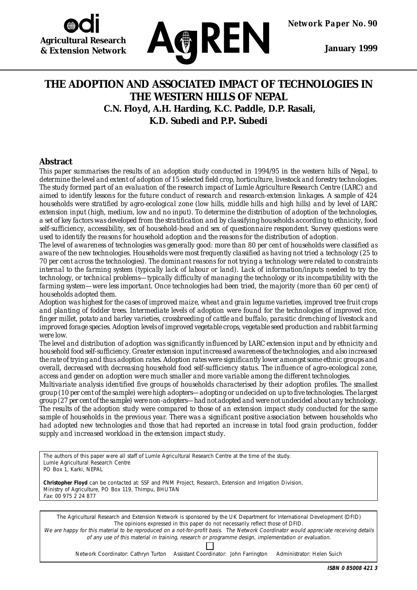



 **January 1999**

## **THE ADOPTION AND ASSOCIATED IMPACT OF TECHNOLOGIES IN THE WESTERN HILLS OF NEPAL C.N. Floyd, A.H. Harding, K.C. Paddle, D.P. Rasali, K.D. Subedi and P.P. Subedi**

## **Abstract**

*This paper summarises the results of an adoption study conducted in 1994/95 in the western hills of Nepal, to determine the level and extent of adoption of 15 selected field crop, horticulture, livestock and forestry technologies. The study formed part of an evaluation of the research impact of Lumle Agriculture Research Centre (LARC) and aimed to identify lessons for the future conduct of research and research-extension linkages. A sample of 424 households were stratified by agro-ecological zone (low hills, middle hills and high hills) and by level of LARC extension input (high, medium, low and no input). To determine the distribution of adoption of the technologies, a set of key factors was developed from the stratification and by classifying households according to ethnicity, food self-sufficiency, accessibility, sex of household-head and sex of questionnaire respondent. Survey questions were used to identify the reasons for household adoption and the reasons for the distribution of adoption.*

*The level of awareness of technologies was generally good: more than 80 per cent of households were classified as aware of the new technologies. Households were most frequently classified as having not tried a technology (25 to 70 per cent across the technologies). The dominant reasons for not trying a technology were related to constraints internal to the farming system (typically lack of labour or land). Lack of information/inputs needed to try the technology, or technical problems—typically difficulty of managing the technology or its incompatibility with the farming system—were less important. Once technologies had been tried, the majority (more than 60 per cent) of households adopted them.*

*Adoption was highest for the cases of improved maize, wheat and grain legume varieties, improved tree fruit crops and planting of fodder trees. Intermediate levels of adoption were found for the technologies of improved rice, finger millet, potato and barley varieties, crossbreeding of cattle and buffalo, parasitic drenching of livestock and improved forage species. Adoption levels of improved vegetable crops, vegetable seed production and rabbit farming were low.*

*The level and distribution of adoption was significantly influenced by LARC extension input and by ethnicity and household food self-sufficiency. Greater extension input increased awareness of the technologies, and also increased the rate of trying and thus adoption rates. Adoption rates were significantly lower amongst some ethnic groups and overall, decreased with decreasing household food self-sufficiency status. The influence of agro-ecological zone, access and gender on adoption were much smaller and more variable among the different technologies.*

*Multivariate analysis identified five groups of households characterised by their adoption profiles. The smallest group (10 per cent of the sample) were high adopters—adopting or undecided on up to five technologies. The largest group (27 per cent of the sample) were non-adopters—had not adopted and were not undecided about any technology. The results of the adoption study were compared to those of an extension impact study conducted for the same sample of households in the previous year. There was a significant positive association between households who had adopted new technologies and those that had reported an increase in total food grain production, fodder supply and increased workload in the extension impact study.*

| The authors of this paper were all staff of Lumle Agricultural Research Centre at the time of the study.<br>Lumle Agricultural Research Centre<br>PO Box 1, Karki, NEPAL                                                                                                                                                                                                                                                                                  |
|-----------------------------------------------------------------------------------------------------------------------------------------------------------------------------------------------------------------------------------------------------------------------------------------------------------------------------------------------------------------------------------------------------------------------------------------------------------|
| <b>Christopher Floyd</b> can be contacted at: SSF and PNM Project, Research, Extension and Irrigation Division,<br>Ministry of Agriculture, PO Box 119, Thimpu, BHUTAN<br>Fax: 00 975 2 24 877                                                                                                                                                                                                                                                            |
|                                                                                                                                                                                                                                                                                                                                                                                                                                                           |
| The Agricultural Research and Extension Network is sponsored by the UK Department for International Development (DFID)<br>The opinions expressed in this paper do not necessarily reflect those of DFID.<br>We are happy for this material to be reproduced on a not-for-profit basis. The Network Coordinator would appreciate receiving details<br>of any use of this material in training, research or programme design, implementation or evaluation. |
|                                                                                                                                                                                                                                                                                                                                                                                                                                                           |
| Network Coordinator: Cathryn Turton Assistant Coordinator: John Farrington<br>Administrator: Helen Suich                                                                                                                                                                                                                                                                                                                                                  |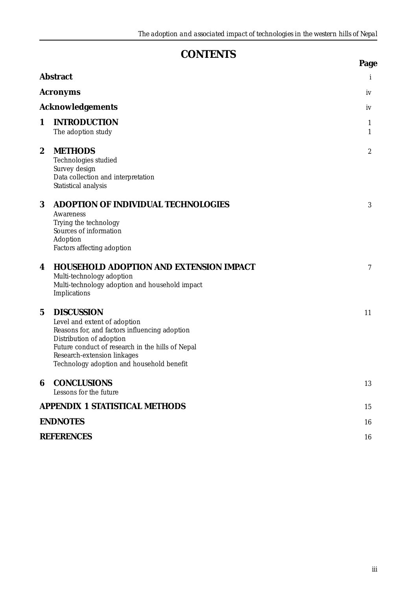# **CONTENTS**

|                  |                                                                                                                                                                                                                                                                | Page             |
|------------------|----------------------------------------------------------------------------------------------------------------------------------------------------------------------------------------------------------------------------------------------------------------|------------------|
|                  | <b>Abstract</b>                                                                                                                                                                                                                                                | i                |
|                  | <b>Acronyms</b>                                                                                                                                                                                                                                                | iv               |
|                  | <b>Acknowledgements</b>                                                                                                                                                                                                                                        | iv               |
| 1                | <b>INTRODUCTION</b><br>The adoption study                                                                                                                                                                                                                      | 1<br>1           |
| $\boldsymbol{2}$ | <b>METHODS</b><br>Technologies studied<br>Survey design<br>Data collection and interpretation<br>Statistical analysis                                                                                                                                          | $\boldsymbol{2}$ |
| 3                | <b>ADOPTION OF INDIVIDUAL TECHNOLOGIES</b><br>Awareness<br>Trying the technology<br>Sources of information<br>Adoption<br>Factors affecting adoption                                                                                                           | 3                |
| 4                | <b>HOUSEHOLD ADOPTION AND EXTENSION IMPACT</b><br>Multi-technology adoption<br>Multi-technology adoption and household impact<br>Implications                                                                                                                  | 7                |
| $\mathbf 5$      | <b>DISCUSSION</b><br>Level and extent of adoption<br>Reasons for, and factors influencing adoption<br>Distribution of adoption<br>Future conduct of research in the hills of Nepal<br>Research-extension linkages<br>Technology adoption and household benefit | 11               |
| 6                | <b>CONCLUSIONS</b><br>Lessons for the future                                                                                                                                                                                                                   | 13               |
|                  | <b>APPENDIX 1 STATISTICAL METHODS</b>                                                                                                                                                                                                                          | 15               |
|                  | <b>ENDNOTES</b>                                                                                                                                                                                                                                                | 16               |
|                  | <b>REFERENCES</b>                                                                                                                                                                                                                                              | 16               |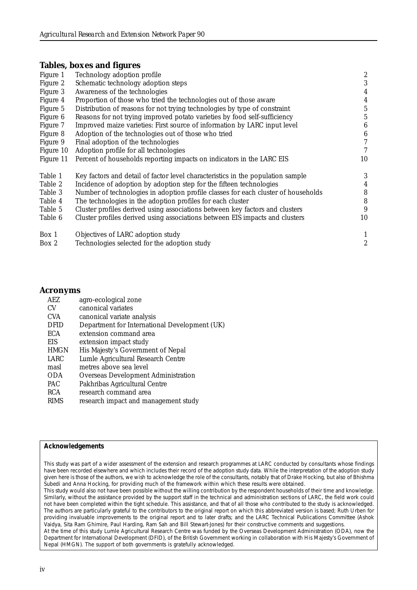## **Tables, boxes and figures**

| Technology adoption profile                                                       | $\boldsymbol{2}$ |
|-----------------------------------------------------------------------------------|------------------|
| Schematic technology adoption steps                                               | 3                |
| Awareness of the technologies                                                     | $\boldsymbol{4}$ |
| Proportion of those who tried the technologies out of those aware                 | $\overline{4}$   |
| Distribution of reasons for not trying technologies by type of constraint         | $\overline{5}$   |
| Reasons for not trying improved potato varieties by food self-sufficiency         | 5                |
| Improved maize varieties: First source of information by LARC input level         | 6                |
| Adoption of the technologies out of those who tried                               | $\boldsymbol{6}$ |
| Final adoption of the technologies                                                | $\overline{7}$   |
| Adoption profile for all technologies                                             | 7                |
| Percent of households reporting impacts on indicators in the LARC EIS             | 10               |
| Key factors and detail of factor level characteristics in the population sample   | 3                |
| Incidence of adoption by adoption step for the fifteen technologies               | $\overline{4}$   |
| Number of technologies in adoption profile classes for each cluster of households | 8                |
| The technologies in the adoption profiles for each cluster                        | 8                |
| Cluster profiles derived using associations between key factors and clusters      | 9                |
| Cluster profiles derived using associations between EIS impacts and clusters      | 10               |
| Objectives of LARC adoption study                                                 | $\mathbf{1}$     |
| Technologies selected for the adoption study                                      | $\overline{c}$   |
|                                                                                   |                  |

#### **Acronyms**

| <b>AEZ</b>  | agro-ecological zone                          |
|-------------|-----------------------------------------------|
| CV          | canonical variates                            |
| <b>CVA</b>  | canonical variate analysis                    |
| <b>DFID</b> | Department for International Development (UK) |
| ECA         | extension command area                        |
| EIS         | extension impact study                        |
| <b>HMGN</b> | His Majesty's Government of Nepal             |
| LARC        | Lumle Agricultural Research Centre            |
| masl        | metres above sea level                        |
| <b>ODA</b>  | Overseas Development Administration           |
| <b>PAC</b>  | Pakhribas Agricultural Centre                 |
| <b>RCA</b>  | research command area                         |
| <b>RIMS</b> | research impact and management study          |

#### **Acknowledgements**

This study was part of a wider assessment of the extension and research programmes at LARC conducted by consultants whose findings have been recorded elsewhere and which includes their record of the adoption study data. While the interpretation of the adoption study given here is those of the authors, we wish to acknowledge the role of the consultants, notably that of Drake Hocking, but also of Bhishma Subedi and Anna Hocking, for providing much of the framework within which these results were obtained.

This study would also not have been possible without the willing contribution by the respondent households of their time and knowledge. Similarly, without the assistance provided by the support staff in the technical and administration sections of LARC, the field work could not have been completed within the tight schedule. This assistance, and that of all those who contributed to the study is acknowledged. The authors are particularly grateful to the contributors to the original report on which this abbreviated version is based; Ruth Urben for providing invaluable improvements to the original report and to later drafts; and the LARC Technical Publications Committee (Ashok Vaidya, Sita Ram Ghimire, Paul Harding, Ram Sah and Bill Stewart-Jones) for their constructive comments and suggestions.

At the time of this study Lumle Agricultural Research Centre was funded by the Overseas Development Administration (ODA), now the Department for International Development (DFID), of the British Government working in collaboration with His Majesty's Government of Nepal (HMGN). The support of both governments is gratefully acknowledged.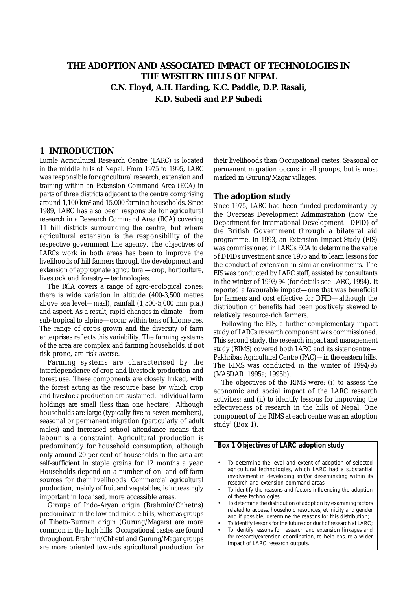## **THE ADOPTION AND ASSOCIATED IMPACT OF TECHNOLOGIES IN THE WESTERN HILLS OF NEPAL C.N. Floyd, A.H. Harding, K.C. Paddle, D.P. Rasali, K.D. Subedi and P.P Subedi**

#### **1 INTRODUCTION**

Lumle Agricultural Research Centre (LARC) is located in the middle hills of Nepal. From 1975 to 1995, LARC was responsible for agricultural research, extension and training within an Extension Command Area (ECA) in parts of three districts adjacent to the centre comprising around 1,100 km² and 15,000 farming households. Since 1989, LARC has also been responsible for agricultural research in a Research Command Area (RCA) covering 11 hill districts surrounding the centre, but where agricultural extension is the responsibility of the respective government line agency. The objectives of LARCs work in both areas has been to improve the livelihoods of hill farmers through the development and extension of appropriate agricultural—crop, horticulture, livestock and forestry—technologies.

The RCA covers a range of agro-ecological zones; there is wide variation in altitude (400-3,500 metres above sea level—masl), rainfall (1,500-5,000 mm p.a.) and aspect. As a result, rapid changes in climate—from sub-tropical to alpine—occur within tens of kilometres. The range of crops grown and the diversity of farm enterprises reflects this variability. The farming systems of the area are complex and farming households, if not risk prone, are risk averse.

Farming systems are characterised by the interdependence of crop and livestock production and forest use. These components are closely linked, with the forest acting as the resource base by which crop and livestock production are sustained. Individual farm holdings are small (less than one hectare). Although households are large (typically five to seven members), seasonal or permanent migration (particularly of adult males) and increased school attendance means that labour is a constraint. Agricultural production is predominantly for household consumption, although only around 20 per cent of households in the area are self-sufficient in staple grains for 12 months a year. Households depend on a number of on- and off-farm sources for their livelihoods. Commercial agricultural production, mainly of fruit and vegetables, is increasingly important in localised, more accessible areas.

Groups of Indo-Aryan origin (Brahmin/Chhetris) predominate in the low and middle hills, whereas groups of Tibeto-Burman origin (Gurung/Magars) are more common in the high hills. Occupational castes are found throughout. Brahmin/Chhetri and Gurung/Magar groups are more oriented towards agricultural production for

their livelihoods than Occupational castes. Seasonal or permanent migration occurs in all groups, but is most marked in Gurung/Magar villages.

#### **The adoption study**

Since 1975, LARC had been funded predominantly by the Overseas Development Administration (now the Department for International Development—DFID) of the British Government through a bilateral aid programme. In 1993, an Extension Impact Study (EIS) was commissioned in LARCs ECA to determine the value of DFIDs investment since 1975 and to learn lessons for the conduct of extension in similar environments. The EIS was conducted by LARC staff, assisted by consultants in the winter of 1993/94 (for details see LARC, 1994). It reported a favourable impact—one that was beneficial for farmers and cost effective for DFID—although the distribution of benefits had been positively skewed to relatively resource-rich farmers.

Following the EIS, a further complementary impact study of LARCs research component was commissioned. This second study, the research impact and management study (RIMS) covered both LARC and its sister centre— Pakhribas Agricultural Centre (PAC)—in the eastern hills. The RIMS was conducted in the winter of 1994/95 (MASDAR, 1995a; 1995b).

The objectives of the RIMS were: (i) to assess the economic and social impact of the LARC research activities; and (ii) to identify lessons for improving the effectiveness of research in the hills of Nepal. One component of the RIMS at each centre was an adoption study<sup>1</sup> (Box 1).

#### **Box 1 Objectives of LARC adoption study**

- To determine the level and extent of adoption of selected agricultural technologies, which LARC had a substantial involvement in developing and/or disseminating within its research and extension command areas;
- To identify the reasons and factors influencing the adoption of these technologies;
- To determine the distribution of adoption by examining factors related to access, household resources, ethnicity and gender and if possible, determine the reasons for this distribution;
- To identify lessons for the future conduct of research at LARC;
- To identify lessons for research and extension linkages and for research/extension coordination, to help ensure a wider impact of LARC research outputs.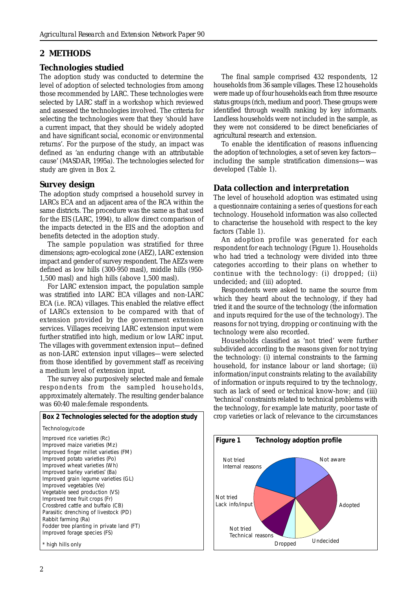## **2 METHODS**

## **Technologies studied**

The adoption study was conducted to determine the level of adoption of selected technologies from among those recommended by LARC. These technologies were selected by LARC staff in a workshop which reviewed and assessed the technologies involved. The criteria for selecting the technologies were that they 'should have a current impact, that they should be widely adopted and have significant social, economic or environmental returns'. For the purpose of the study, an impact was defined as 'an enduring change with an attributable cause' (MASDAR, 1995a). The technologies selected for study are given in Box 2.

## **Survey design**

The adoption study comprised a household survey in LARCs ECA and an adjacent area of the RCA within the same districts. The procedure was the same as that used for the EIS (LARC, 1994), to allow direct comparison of the impacts detected in the EIS and the adoption and benefits detected in the adoption study.

The sample population was stratified for three dimensions; agro-ecological zone (AEZ), LARC extension impact and gender of survey respondent. The AEZs were defined as low hills (300-950 masl), middle hills (950- 1,500 masl) and high hills (above 1,500 masl).

For LARC extension impact, the population sample was stratified into LARC ECA villages and non-LARC ECA (i.e. RCA) villages. This enabled the relative effect of LARCs extension to be compared with that of extension provided by the government extension services. Villages receiving LARC extension input were further stratified into high, medium or low LARC input. The villages with government extension input—defined as non-LARC extension input villages—were selected from those identified by government staff as receiving a medium level of extension input.

The survey also purposively selected male and female respondents from the sampled households, approximately alternately. The resulting gender balance was 60:40 male:female respondents.

**Box 2 Technologies selected for the adoption study** Technology/code Improved rice varieties (Rc) Improved maize varieties (Mz) Improved finger millet varieties (FM) Improved potato varieties (Po) Improved wheat varieties (Wh) Improved barley varieties\* (Ba) Improved grain legume varieties (GL) Improved vegetables (Ve) Vegetable seed production (VS) Improved tree fruit crops (Fr) Crossbred cattle and buffalo (CB) Parasitic drenching of livestock (PD) Rabbit farming (Ra) Fodder tree planting in private land (FT) Improved forage species (FS) high hills only

The final sample comprised 432 respondents, 12 households from 36 sample villages. These 12 households were made up of four households each from three resource status groups (rich, medium and poor). These groups were identified through wealth ranking by key informants. Landless households were not included in the sample, as they were not considered to be direct beneficiaries of agricultural research and extension.

To enable the identification of reasons influencing the adoption of technologies, a set of seven key factors including the sample stratification dimensions—was developed (Table 1).

## **Data collection and interpretation**

The level of household adoption was estimated using a questionnaire containing a series of questions for each technology. Household information was also collected to characterise the household with respect to the key factors (Table 1).

An adoption profile was generated for each respondent for each technology (Figure 1). Households who had tried a technology were divided into three categories according to their plans on whether to continue with the technology: (i) dropped; (ii) undecided; and (iii) adopted.

Respondents were asked to name the source from which they heard about the technology, if they had tried it and the source of the technology (the information and inputs required for the use of the technology). The reasons for not trying, dropping or continuing with the technology were also recorded.

Households classified as 'not tried' were further subdivided according to the reasons given for not trying the technology: (i) internal constraints to the farming household, for instance labour or land shortage; (ii) information/input constraints relating to the availability of information or inputs required to try the technology, such as lack of seed or technical know-how; and (iii) 'technical' constraints related to technical problems with the technology, for example late maturity, poor taste of crop varieties or lack of relevance to the circumstances

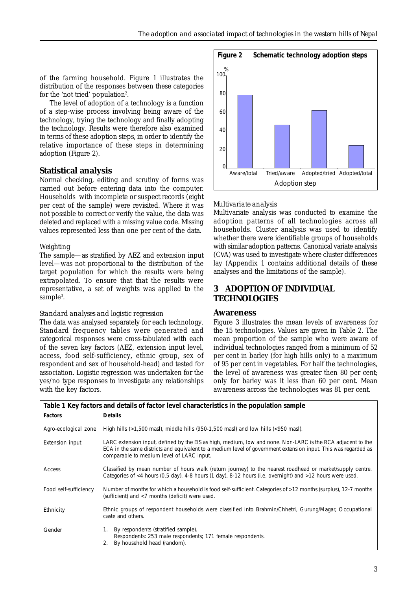of the farming household. Figure 1 illustrates the distribution of the responses between these categories for the 'not tried' population<sup>2</sup>.

 The level of adoption of a technology is a function of a step-wise process involving being aware of the technology, trying the technology and finally adopting the technology. Results were therefore also examined in terms of these adoption steps, in order to identify the relative importance of these steps in determining adoption (Figure 2).

## **Statistical analysis**

Normal checking, editing and scrutiny of forms was carried out before entering data into the computer. Households with incomplete or suspect records (eight per cent of the sample) were revisited. Where it was not possible to correct or verify the value, the data was deleted and replaced with a missing value code. Missing values represented less than one per cent of the data.

#### *Weighting*

The sample—as stratified by AEZ and extension input level—was not proportional to the distribution of the target population for which the results were being extrapolated. To ensure that that the results were representative, a set of weights was applied to the sample<sup>3</sup>.

#### *Standard analyses and logistic regression*

The data was analysed separately for each technology. Standard frequency tables were generated and categorical responses were cross-tabulated with each of the seven key factors (AEZ, extension input level, access, food self-sufficiency, ethnic group, sex of respondent and sex of household-head) and tested for association. Logistic regression was undertaken for the yes/no type responses to investigate any relationships with the key factors.



#### *Multivariate analysis*

Multivariate analysis was conducted to examine the adoption patterns of all technologies across all households. Cluster analysis was used to identify whether there were identifiable groups of households with similar adoption patterns. Canonical variate analysis (CVA) was used to investigate where cluster differences lay (Appendix 1 contains additional details of these analyses and the limitations of the sample).

## **3 ADOPTION OF INDIVIDUAL TECHNOLOGIES**

#### **Awareness**

Figure 3 illustrates the mean levels of awareness for the 15 technologies. Values are given in Table 2. The mean proportion of the sample who were aware of individual technologies ranged from a minimum of 52 per cent in barley (for high hills only) to a maximum of 95 per cent in vegetables. For half the technologies, the level of awareness was greater then 80 per cent; only for barley was it less than 60 per cent. Mean awareness across the technologies was 81 per cent.

| Table 1 Key factors and details of factor level characteristics in the population sample                                                  |                                                                                                                                                                                                                                                                            |  |  |  |  |  |
|-------------------------------------------------------------------------------------------------------------------------------------------|----------------------------------------------------------------------------------------------------------------------------------------------------------------------------------------------------------------------------------------------------------------------------|--|--|--|--|--|
| <b>Factors</b>                                                                                                                            | <b>Details</b>                                                                                                                                                                                                                                                             |  |  |  |  |  |
| Agro-ecological zone                                                                                                                      | High hills ( $>1,500$ masl), middle hills (950-1,500 masl) and low hills ( $<$ 950 masl).                                                                                                                                                                                  |  |  |  |  |  |
| Extension input                                                                                                                           | LARC extension input, defined by the EIS as high, medium, low and none. Non-LARC is the RCA adjacent to the<br>ECA in the same districts and equivalent to a medium level of government extension input. This was regarded as<br>comparable to medium level of LARC input. |  |  |  |  |  |
| Access                                                                                                                                    | Classified by mean number of hours walk (return journey) to the nearest roadhead or market/supply centre.<br>Categories of <4 hours (0.5 day), 4-8 hours (1 day), 8-12 hours (i.e. overnight) and >12 hours were used.                                                     |  |  |  |  |  |
| Food self-sufficiency                                                                                                                     | Number of months for which a household is food self-sufficient. Categories of >12 months (surplus), 12-7 months<br>(sufficient) and <7 months (deficit) were used.                                                                                                         |  |  |  |  |  |
| Ethnic groups of respondent households were classified into Brahmin/Chhetri, Gurung/Magar, Occupational<br>Ethnicity<br>caste and others. |                                                                                                                                                                                                                                                                            |  |  |  |  |  |
| Gender                                                                                                                                    | By respondents (stratified sample).<br>1.<br>Respondents: 253 male respondents; 171 female respondents.<br>By household head (random).                                                                                                                                     |  |  |  |  |  |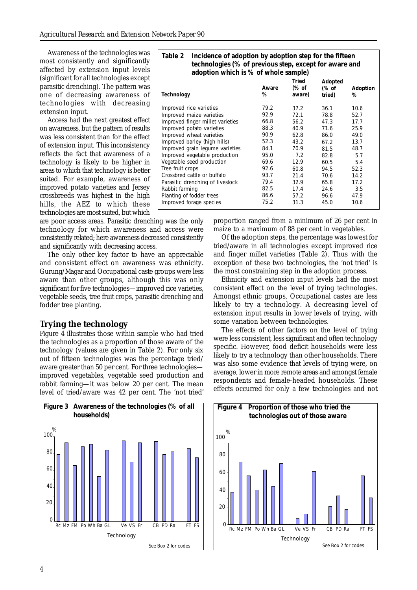Awareness of the technologies was most consistently and significantly affected by extension input levels (significant for all technologies except parasitic drenching). The pattern was one of decreasing awareness of technologies with decreasing extension input.

Access had the next greatest effect on awareness, but the pattern of results was less consistent than for the effect of extension input. This inconsistency reflects the fact that awareness of a technology is likely to be higher in areas to which that technology is better suited. For example, awareness of improved potato varieties and Jersey crossbreeds was highest in the high hills, the AEZ to which these technologies are most suited, but which

are poor access areas. Parasitic drenching was the only technology for which awareness and access were consistently related; here awareness decreased consistently and significantly with decreasing access.

The only other key factor to have an appreciable and consistent effect on awareness was ethnicity. Gurung/Magar and Occupational caste groups were less aware than other groups, although this was only significant for five technologies—improved rice varieties, vegetable seeds, tree fruit crops, parasitic drenching and fodder tree planting.

## **Trying the technology**

Figure 4 illustrates those within sample who had tried the technologies as a proportion of those aware of the technology (values are given in Table 2). For only six out of fifteen technologies was the percentage tried/ aware greater than 50 per cent. For three technologies improved vegetables, vegetable seed production and rabbit farming—it was below 20 per cent. The mean level of tried/aware was 42 per cent. The 'not tried'



| Table 2<br>Incidence of adoption by adoption step for the fifteen<br>technologies (% of previous step, except for aware and<br>adoption which is % of whole sample) |            |                                 |                            |               |  |  |
|---------------------------------------------------------------------------------------------------------------------------------------------------------------------|------------|---------------------------------|----------------------------|---------------|--|--|
| Technology                                                                                                                                                          | Aware<br>% | <b>Tried</b><br>(% of<br>aware) | Adopted<br>(% of<br>tried) | Adoption<br>% |  |  |
| Improved rice varieties                                                                                                                                             | 79.2       | 37.2                            | 36.1                       | 10.6          |  |  |
| Improved maize varieties                                                                                                                                            | 92.9       | 72.1                            | 78.8                       | 52.7          |  |  |
| Improved finger millet varieties                                                                                                                                    | 66.8       | 56.2                            | 47.3                       | 17.7          |  |  |
| Improved potato varieties                                                                                                                                           | 88.3       | 40.9                            | 71.6                       | 25.9          |  |  |
| Improved wheat varieties                                                                                                                                            | 90.9       | 62.8                            | 86.0                       | 49.0          |  |  |
| Improved barley (high hills)                                                                                                                                        | 52.3       | 43.2                            | 67.2                       | 13.7          |  |  |
| Improved grain legume varieties                                                                                                                                     | 84.1       | 70.9                            | 81.5                       | 48.7          |  |  |
| Improved vegetable production                                                                                                                                       | 95.0       | 7.2                             | 82.8                       | 5.7           |  |  |
| Vegetable seed production                                                                                                                                           | 69.6       | 12.9                            | 60.5                       | 5.4           |  |  |
| Tree fruit crops                                                                                                                                                    | 92.6       | 60.8                            | 94.5                       | 52.3          |  |  |
| Crossbred cattle or buffalo                                                                                                                                         | 93.7       | 21.4                            | 70.6                       | 14.2          |  |  |
| Parasitic drenching of livestock                                                                                                                                    | 79.4       | 32.9                            | 65.8                       | 17.2          |  |  |
| Rabbit farming                                                                                                                                                      | 82.5       | 17.4                            | 24.6                       | 3.5           |  |  |
| Planting of fodder trees                                                                                                                                            | 86.6       | 57.2                            | 96.6                       | 47.9          |  |  |
| Improved forage species                                                                                                                                             | 75.2       | 31.3                            | 45.0                       | 10.6          |  |  |

proportion ranged from a minimum of 26 per cent in maize to a maximum of 88 per cent in vegetables.

Of the adoption steps, the percentage was lowest for tried/aware in all technologies except improved rice and finger millet varieties (Table 2). Thus with the exception of these two technologies, the 'not tried' is the most constraining step in the adoption process.

Ethnicity and extension input levels had the most consistent effect on the level of trying technologies. Amongst ethnic groups, Occupational castes are less likely to try a technology. A decreasing level of extension input results in lower levels of trying, with some variation between technologies.

The effects of other factors on the level of trying were less consistent, less significant and often technology specific. However, food deficit households were less likely to try a technology than other households. There was also some evidence that levels of trying were, on average, lower in more remote areas and amongst female respondents and female-headed households. These effects occurred for only a few technologies and not

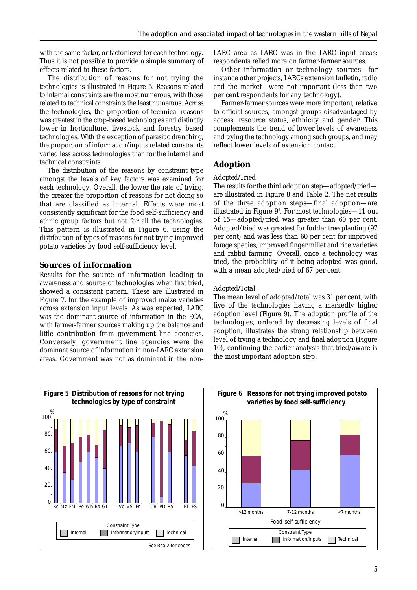with the same factor, or factor level for each technology. Thus it is not possible to provide a simple summary of effects related to these factors.

The distribution of reasons for not trying the technologies is illustrated in Figure 5. Reasons related to internal constraints are the most numerous, with those related to technical constraints the least numerous. Across the technologies, the proportion of technical reasons was greatest in the crop-based technologies and distinctly lower in horticulture, livestock and forestry based technologies. With the exception of parasitic drenching, the proportion of information/inputs related constraints varied less across technologies than for the internal and technical constraints.

The distribution of the reasons by constraint type amongst the levels of key factors was examined for each technology. Overall, the lower the rate of trying, the greater the proportion of reasons for not doing so that are classified as internal. Effects were most consistently significant for the food self-sufficiency and ethnic group factors but not for all the technologies. This pattern is illustrated in Figure 6, using the distribution of types of reasons for not trying improved potato varieties by food self-sufficiency level.

## **Sources of information**

Results for the source of information leading to awareness and source of technologies when first tried, showed a consistent pattern. These are illustrated in Figure 7, for the example of improved maize varieties across extension input levels. As was expected, LARC was the dominant source of information in the ECA, with farmer-farmer sources making up the balance and little contribution from government line agencies. Conversely, government line agencies were the dominant source of information in non-LARC extension areas. Government was not as dominant in the nonLARC area as LARC was in the LARC input areas; respondents relied more on farmer-farmer sources.

Other information or technology sources—for instance other projects, LARCs extension bulletin, radio and the market—were not important (less than two per cent respondents for any technology).

Farmer-farmer sources were more important, relative to official sources, amongst groups disadvantaged by access, resource status, ethnicity and gender. This complements the trend of lower levels of awareness and trying the technology among such groups, and may reflect lower levels of extension contact.

## **Adoption**

#### *Adopted/Tried*

The results for the third adoption step—adopted/tried are illustrated in Figure 8 and Table 2. The net results of the three adoption steps—final adoption—are illustrated in Figure 94 . For most technologies—11 out of 15—adopted/tried was greater than 60 per cent. Adopted/tried was greatest for fodder tree planting (97 per cent) and was less than 60 per cent for improved forage species, improved finger millet and rice varieties and rabbit farming. Overall, once a technology was tried, the probability of it being adopted was good, with a mean adopted/tried of 67 per cent.

## *Adopted/Total*

The mean level of adopted/total was 31 per cent, with five of the technologies having a markedly higher adoption level (Figure 9). The adoption profile of the technologies, ordered by decreasing levels of final adoption, illustrates the strong relationship between level of trying a technology and final adoption (Figure 10), confirming the earlier analysis that tried/aware is the most important adoption step.



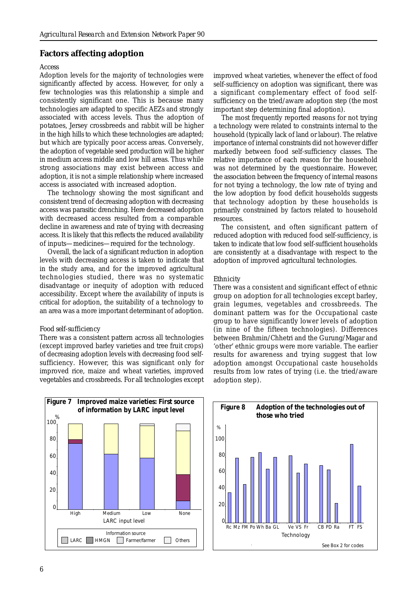#### **Factors affecting adoption**

#### *Access*

Adoption levels for the majority of technologies were significantly affected by access. However, for only a few technologies was this relationship a simple and consistently significant one. This is because many technologies are adapted to specific AEZs and strongly associated with access levels. Thus the adoption of potatoes, Jersey crossbreeds and rabbit will be higher in the high hills to which these technologies are adapted; but which are typically poor access areas. Conversely, the adoption of vegetable seed production will be higher in medium access middle and low hill areas. Thus while strong associations may exist between access and adoption, it is not a simple relationship where increased access is associated with increased adoption.

The technology showing the most significant and consistent trend of decreasing adoption with decreasing access was parasitic drenching. Here decreased adoption with decreased access resulted from a comparable decline in awareness and rate of trying with decreasing access. It is likely that this reflects the reduced availability of inputs—medicines—required for the technology.

Overall, the lack of a significant reduction in adoption levels with decreasing access is taken to indicate that in the study area, and for the improved agricultural technologies studied, there was no systematic disadvantage or inequity of adoption with reduced accessibility. Except where the availability of inputs is critical for adoption, the suitability of a technology to an area was a more important determinant of adoption.

#### *Food self-sufficiency*

There was a consistent pattern across all technologies (except improved barley varieties and tree fruit crops) of decreasing adoption levels with decreasing food selfsufficiency. However, this was significant only for improved rice, maize and wheat varieties, improved vegetables and crossbreeds. For all technologies except

 $\ddot{\phantom{0}}$ 20% 20 40% 40 60% 60 80% 80 100% 100 1234 High Medium Low None  $\mathcal{C}$ % LARC input level **Figure 7 Improved maize varieties: First source of information by LARC input level** LARC | HMGN | Farmer/farmer | | Others Information source

improved wheat varieties, whenever the effect of food self-sufficiency on adoption was significant, there was a significant complementary effect of food selfsufficiency on the tried/aware adoption step (the most important step determining final adoption).

The most frequently reported reasons for not trying a technology were related to constraints internal to the household (typically lack of land or labour). The relative importance of internal constraints did not however differ markedly between food self-sufficiency classes. The relative importance of each reason for the household was not determined by the questionnaire. However, the association between the frequency of internal reasons for not trying a technology, the low rate of trying and the low adoption by food deficit households suggests that technology adoption by these households is primarily constrained by factors related to household resources.

The consistent, and often significant pattern of reduced adoption with reduced food self-sufficiency, is taken to indicate that low food self-sufficient households are consistently at a disadvantage with respect to the adoption of improved agricultural technologies.

#### *Ethnicity*

There was a consistent and significant effect of ethnic group on adoption for all technologies except barley, grain legumes, vegetables and crossbreeds. The dominant pattern was for the Occupational caste group to have significantly lower levels of adoption (in nine of the fifteen technologies). Differences between Brahmin/Chhetri and the Gurung/Magar and 'other' ethnic groups were more variable. The earlier results for awareness and trying suggest that low adoption amongst Occupational caste households results from low rates of trying (i.e. the tried/aware adoption step).

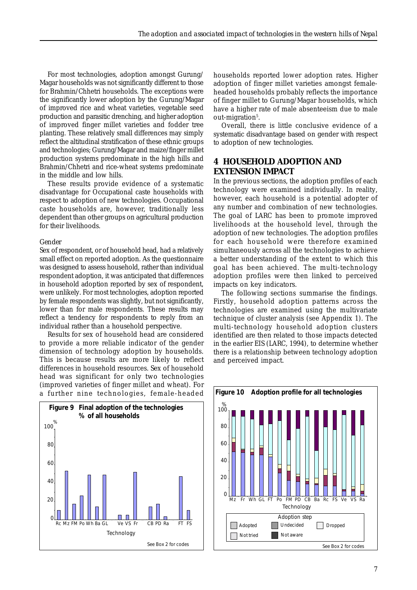For most technologies, adoption amongst Gurung/ Magar households was not significantly different to those for Brahmin/Chhetri households. The exceptions were the significantly lower adoption by the Gurung/Magar of improved rice and wheat varieties, vegetable seed production and parasitic drenching, and higher adoption of improved finger millet varieties and fodder tree planting. These relatively small differences may simply reflect the altitudinal stratification of these ethnic groups and technologies; Gurung/Magar and maize/finger millet production systems predominate in the high hills and Brahmin/Chhetri and rice-wheat systems predominate in the middle and low hills.

These results provide evidence of a systematic disadvantage for Occupational caste households with respect to adoption of new technologies. Occupational caste households are, however, traditionally less dependent than other groups on agricultural production for their livelihoods.

#### *Gender*

Sex of respondent, or of household head, had a relatively small effect on reported adoption. As the questionnaire was designed to assess household, rather than individual respondent adoption, it was anticipated that differences in household adoption reported by sex of respondent, were unlikely. For most technologies, adoption reported by female respondents was slightly, but not significantly, lower than for male respondents. These results may reflect a tendency for respondents to reply from an individual rather than a household perspective.

Results for sex of household head are considered to provide a more reliable indicator of the gender dimension of technology adoption by households. This is because results are more likely to reflect differences in household resources. Sex of household head was significant for only two technologies (improved varieties of finger millet and wheat). For a further nine technologies, female-headed



households reported lower adoption rates. Higher adoption of finger millet varieties amongst femaleheaded households probably reflects the importance of finger millet to Gurung/Magar households, which have a higher rate of male absenteeism due to male out-migration<sup>5</sup>.

Overall, there is little conclusive evidence of a systematic disadvantage based on gender with respect to adoption of new technologies.

## **4 HOUSEHOLD ADOPTION AND EXTENSION IMPACT**

In the previous sections, the adoption profiles of each technology were examined individually. In reality, however, each household is a potential adopter of any number and combination of new technologies. The goal of LARC has been to promote improved livelihoods at the household level, through the adoption of new technologies. The adoption profiles for each household were therefore examined simultaneously across all the technologies to achieve a better understanding of the extent to which this goal has been achieved. The multi-technology adoption profiles were then linked to perceived impacts on key indicators.

The following sections summarise the findings. Firstly, household adoption patterns across the technologies are examined using the multivariate technique of cluster analysis (see Appendix 1). The multi-technology household adoption clusters identified are then related to those impacts detected in the earlier EIS (LARC, 1994), to determine whether there is a relationship between technology adoption and perceived impact.

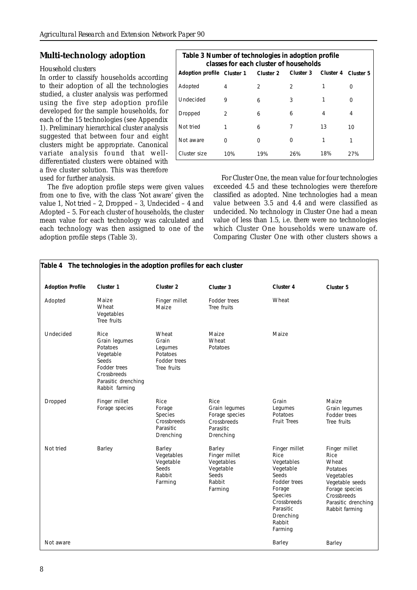## **Multi-technology adoption**

#### *Household clusters*

In order to classify households according to their adoption of all the technologies studied, a cluster analysis was performed using the five step adoption profile developed for the sample households, for each of the 15 technologies (see Appendix 1). Preliminary hierarchical cluster analysis suggested that between four and eight clusters might be appropriate. Canonical variate analysis found that welldifferentiated clusters were obtained with a five cluster solution. This was therefore used for further analysis.

The five adoption profile steps were given values from one to five, with the class 'Not aware' given the value 1, Not tried – 2, Dropped – 3, Undecided – 4 and Adopted – 5. For each cluster of households, the cluster mean value for each technology was calculated and each technology was then assigned to one of the adoption profile steps (Table 3).

| Table 3 Number of technologies in adoption profile<br>classes for each cluster of households |               |     |           |           |           |  |
|----------------------------------------------------------------------------------------------|---------------|-----|-----------|-----------|-----------|--|
| Adoption profile Cluster 1 Cluster 2                                                         |               |     | Cluster 3 | Cluster 4 | Cluster 5 |  |
| Adopted                                                                                      | 4             | 2   | 2         |           | Ω         |  |
| Undecided                                                                                    | 9             | 6   | 3         |           | 0         |  |
| Dropped                                                                                      | $\mathcal{P}$ | 6   | 6         | 4         | 4         |  |
| Not tried                                                                                    |               | 6   | 7         | 13        | 10        |  |
| Not aware                                                                                    | ∩             | 0   | ∩         | 1         | 1         |  |
| Cluster size                                                                                 | 10%           | 19% | 26%       | 18%       | 27%       |  |

For Cluster One, the mean value for four technologies exceeded 4.5 and these technologies were therefore classified as adopted. Nine technologies had a mean value between 3.5 and 4.4 and were classified as undecided. No technology in Cluster One had a mean value of less than 1.5, i.e. there were no technologies which Cluster One households were unaware of. Comparing Cluster One with other clusters shows a

|                         | Table 4 The technologies in the adoption profiles for each cluster                                                              |                                                                      |                                                                                  |                                                                                                                                                                            |                                                                                                                                                       |
|-------------------------|---------------------------------------------------------------------------------------------------------------------------------|----------------------------------------------------------------------|----------------------------------------------------------------------------------|----------------------------------------------------------------------------------------------------------------------------------------------------------------------------|-------------------------------------------------------------------------------------------------------------------------------------------------------|
| <b>Adoption Profile</b> | Cluster 1                                                                                                                       | Cluster <sub>2</sub>                                                 | Cluster 3                                                                        | Cluster 4                                                                                                                                                                  | Cluster 5                                                                                                                                             |
| Adopted                 | Maize<br>Wheat<br>Vegetables<br>Tree fruits                                                                                     | Finger millet<br>Maize                                               | Fodder trees<br>Tree fruits                                                      | Wheat                                                                                                                                                                      |                                                                                                                                                       |
| Undecided               | Rice<br>Grain legumes<br>Potatoes<br>Vegetable<br>Seeds<br>Fodder trees<br>Crossbreeds<br>Parasitic drenching<br>Rabbit farming | Wheat<br>Grain<br>Legumes<br>Potatoes<br>Fodder trees<br>Tree fruits | Maize<br>Wheat<br>Potatoes                                                       | Maize                                                                                                                                                                      |                                                                                                                                                       |
| Dropped                 | Finger millet<br>Forage species                                                                                                 | Rice<br>Forage<br>Species<br>Crossbreeds<br>Parasitic<br>Drenching   | Rice<br>Grain lequmes<br>Forage species<br>Crossbreeds<br>Parasitic<br>Drenching | Grain<br>Legumes<br>Potatoes<br><b>Fruit Trees</b>                                                                                                                         | Maize<br>Grain lequmes<br>Fodder trees<br>Tree fruits                                                                                                 |
| Not tried               | Barley                                                                                                                          | Barley<br>Vegetables<br>Vegetable<br>Seeds<br>Rabbit<br>Farming      | Barley<br>Finger millet<br>Vegetables<br>Vegetable<br>Seeds<br>Rabbit<br>Farming | Finger millet<br><b>Rice</b><br>Vegetables<br>Vegetable<br>Seeds<br>Fodder trees<br>Forage<br><b>Species</b><br>Crossbreeds<br>Parasitic<br>Drenching<br>Rabbit<br>Farming | Finger millet<br>Rice<br>Wheat<br>Potatoes<br>Vegetables<br>Vegetable seeds<br>Forage species<br>Crossbreeds<br>Parasitic drenching<br>Rabbit farming |
| Not aware               |                                                                                                                                 |                                                                      |                                                                                  | Barley                                                                                                                                                                     | Barley                                                                                                                                                |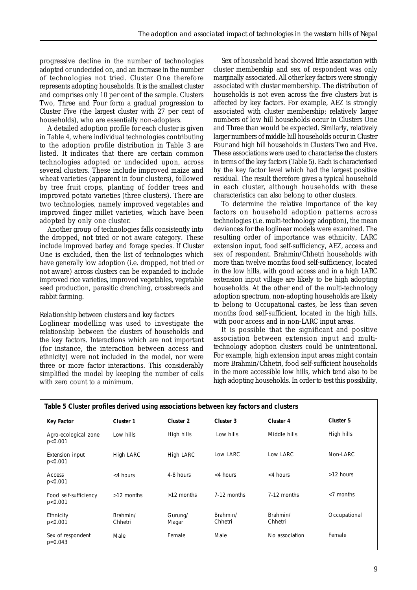progressive decline in the number of technologies adopted or undecided on, and an increase in the number of technologies not tried. Cluster One therefore represents adopting households. It is the smallest cluster and comprises only 10 per cent of the sample. Clusters Two, Three and Four form a gradual progression to Cluster Five (the largest cluster with 27 per cent of households), who are essentially non-adopters.

A detailed adoption profile for each cluster is given in Table 4, where individual technologies contributing to the adoption profile distribution in Table 3 are listed. It indicates that there are certain common technologies adopted or undecided upon, across several clusters. These include improved maize and wheat varieties (apparent in four clusters), followed by tree fruit crops, planting of fodder trees and improved potato varieties (three clusters). There are two technologies, namely improved vegetables and improved finger millet varieties, which have been adopted by only one cluster.

Another group of technologies falls consistently into the dropped, not tried or not aware category. These include improved barley and forage species. If Cluster One is excluded, then the list of technologies which have generally low adoption (i.e. dropped, not tried or not aware) across clusters can be expanded to include improved rice varieties, improved vegetables, vegetable seed production, parasitic drenching, crossbreeds and rabbit farming.

#### *Relationship between clusters and key factors*

Loglinear modelling was used to investigate the relationship between the clusters of households and the key factors. Interactions which are not important (for instance, the interaction between access and ethnicity) were not included in the model, nor were three or more factor interactions. This considerably simplified the model by keeping the number of cells with zero count to a minimum.

Sex of household head showed little association with cluster membership and sex of respondent was only marginally associated. All other key factors were strongly associated with cluster membership. The distribution of households is not even across the five clusters but is affected by key factors. For example, AEZ is strongly associated with cluster membership; relatively larger numbers of low hill households occur in Clusters One and Three than would be expected. Similarly, relatively larger numbers of middle hill households occur in Cluster Four and high hill households in Clusters Two and Five. These associations were used to characterise the clusters in terms of the key factors (Table 5). Each is characterised by the key factor level which had the largest positive residual. The result therefore gives a typical household in each cluster, although households with these characteristics can also belong to other clusters.

To determine the relative importance of the key factors on household adoption patterns across technologies (i.e. multi-technology adoption), the mean deviances for the loglinear models were examined. The resulting order of importance was ethnicity, LARC extension input, food self-sufficiency, AEZ, access and sex of respondent. Brahmin/Chhetri households with more than twelve months food self-sufficiency, located in the low hills, with good access and in a high LARC extension input village are likely to be high adopting households. At the other end of the multi-technology adoption spectrum, non-adopting households are likely to belong to Occupational castes, be less than seven months food self-sufficient, located in the high hills, with poor access and in non-LARC input areas.

It is possible that the significant and positive association between extension input and multitechnology adoption clusters could be unintentional. For example, high extension input areas might contain more Brahmin/Chhetri, food self-sufficient households in the more accessible low hills, which tend also to be high adopting households. In order to test this possibility,

| Table 5 Cluster profiles derived using associations between key factors and clusters |                     |                  |                     |                     |              |  |
|--------------------------------------------------------------------------------------|---------------------|------------------|---------------------|---------------------|--------------|--|
| <b>Key Factor</b>                                                                    | Cluster 1           | Cluster 2        | Cluster 3           | Cluster 4           | Cluster 5    |  |
| Agro-ecological zone<br>p < 0.001                                                    | Low hills           | High hills       | Low hills           | Middle hills        | High hills   |  |
| Extension input<br>p < 0.001                                                         | High LARC           | High LARC        | Low LARC            | Low LARC            | Non-LARC     |  |
| Access<br>p < 0.001                                                                  | <4 hours            | 4-8 hours        | $<$ 4 hours         | <4 hours            | $>12$ hours  |  |
| Food self-sufficiency<br>p < 0.001                                                   | >12 months          | >12 months       | 7-12 months         | 7-12 months         | $<$ 7 months |  |
| Ethnicity<br>p < 0.001                                                               | Brahmin/<br>Chhetri | Gurung/<br>Magar | Brahmin/<br>Chhetri | Brahmin/<br>Chhetri | Occupational |  |
| Sex of respondent<br>$p=0.043$                                                       | Male                | Female           | Male                | No association      | Female       |  |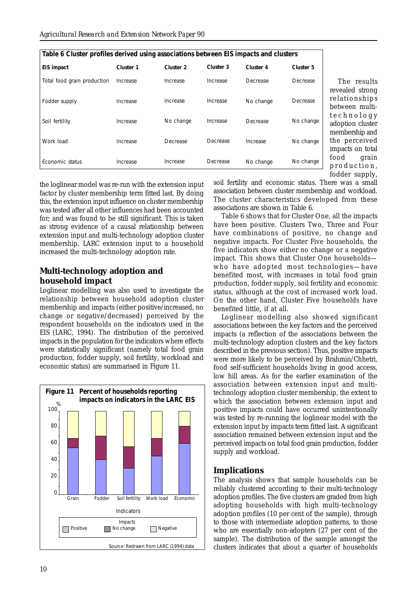| Table 6 Cluster profiles derived using associations between EIS impacts and clusters |           |                      |           |           |           |  |  |
|--------------------------------------------------------------------------------------|-----------|----------------------|-----------|-----------|-----------|--|--|
| EIS impact                                                                           | Cluster 1 | Cluster <sub>2</sub> | Cluster 3 | Cluster 4 | Cluster 5 |  |  |
| Total food grain production                                                          | Increase  | Increase             | Increase  | Decrease  | Decrease  |  |  |
| Fodder supply                                                                        | Increase  | Increase             | Increase  | No change | Decrease  |  |  |
| Soil fertility                                                                       | Increase  | No change            | Increase  | Decrease  | No change |  |  |
| Work load                                                                            | Increase  | Decrease             | Decrease  | Increase  | No change |  |  |
| Economic status                                                                      | Increase  | Increase             | Decrease  | No change | No change |  |  |

The results revealed strong relationships between multitechnology adoption cluster membership and the perceived impacts on total food grain production, fodder supply,

the loglinear model was re-run with the extension input factor by cluster membership term fitted last. By doing this, the extension input influence on cluster membership was tested after all other influences had been accounted for; and was found to be still significant. This is taken as strong evidence of a causal relationship between extension input and multi-technology adoption cluster membership. LARC extension input to a household increased the multi-technology adoption rate.

## **Multi-technology adoption and household impact**

Loglinear modelling was also used to investigate the relationship between household adoption cluster membership and impacts (either positive/increased, no change or negative/decreased) perceived by the respondent households on the indicators used in the EIS (LARC, 1994). The distribution of the perceived impacts in the population for the indicators where effects were statistically significant (namely total food grain production, fodder supply, soil fertility, workload and economic status) are summarised in Figure 11.



soil fertility and economic status. There was a small association between cluster membership and workload. The cluster characteristics developed from these associations are shown in Table 6.

Table 6 shows that for Cluster One, all the impacts have been positive. Clusters Two, Three and Four have combinations of positive, no change and negative impacts. For Cluster Five households, the five indicators show either no change or a negative impact. This shows that Cluster One households who have adopted most technologies—have benefited most, with increases in total food grain production, fodder supply, soil fertility and economic status, although at the cost of increased work load. On the other hand, Cluster Five households have benefited little, if at all.

Loglinear modelling also showed significant associations between the key factors and the perceived impacts (a reflection of the associations between the multi-technology adoption clusters and the key factors described in the previous section). Thus, positive impacts were more likely to be perceived by Brahmin/Chhetri, food self-sufficient households living in good access, low hill areas. As for the earlier examination of the association between extension input and multitechnology adoption cluster membership, the extent to which the association between extension input and positive impacts could have occurred unintentionally was tested by re-running the loglinear model with the extension input by impacts term fitted last. A significant association remained between extension input and the perceived impacts on total food grain production, fodder supply and workload.

## **Implications**

The analysis shows that sample households can be reliably clustered according to their multi-technology adoption profiles. The five clusters are graded from high adopting households with high multi-technology adoption profiles (10 per cent of the sample), through to those with intermediate adoption patterns, to those who are essentially non-adopters (27 per cent of the sample). The distribution of the sample amongst the clusters indicates that about a quarter of households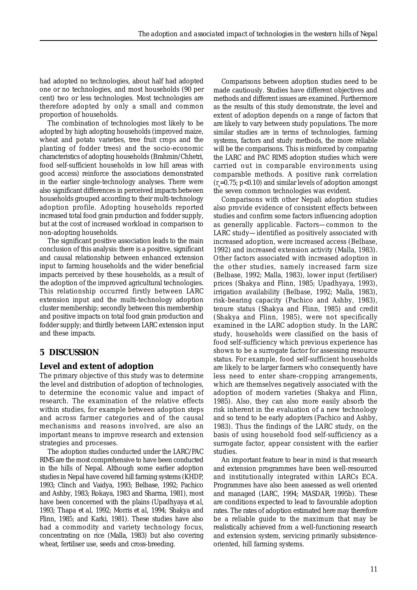had adopted no technologies, about half had adopted one or no technologies, and most households (90 per cent) two or less technologies. Most technologies are therefore adopted by only a small and common proportion of households.

The combination of technologies most likely to be adopted by high adopting households (improved maize, wheat and potato varieties, tree fruit crops and the planting of fodder trees) and the socio-economic characteristics of adopting households (Brahmin/Chhetri, food self-sufficient households in low hill areas with good access) reinforce the associations demonstrated in the earlier single-technology analyses. There were also significant differences in perceived impacts between households grouped according to their multi-technology adoption profile. Adopting households reported increased total food grain production and fodder supply, but at the cost of increased workload in comparison to non-adopting households.

The significant positive association leads to the main conclusion of this analysis: there is a positive, significant and causal relationship between enhanced extension input to farming households and the wider beneficial impacts perceived by these households, as a result of the adoption of the improved agricultural technologies. This relationship occurred firstly between LARC extension input and the multi-technology adoption cluster membership; secondly between this membership and positive impacts on total food grain production and fodder supply; and thirdly between LARC extension input and these impacts.

## **5 DISCUSSION**

## **Level and extent of adoption**

The primary objective of this study was to determine the level and distribution of adoption of technologies, to determine the economic value and impact of research. The examination of the relative effects within studies, for example between adoption steps and across farmer categories and of the causal mechanisms and reasons involved, are also an important means to improve research and extension strategies and processes.

The adoption studies conducted under the LARC/PAC RIMS are the most comprehensive to have been conducted in the hills of Nepal. Although some earlier adoption studies in Nepal have covered hill farming systems (KHDP, 1993; Clinch and Vaidya, 1993; Belbase, 1992; Pachico and Ashby, 1983; Rokaya, 1983 and Sharma, 1981), most have been concerned with the plains (Upadhyaya *et al*, 1993; Thapa *et al*, 1992; Morris *et al*, 1994; Shakya and Flinn, 1985; and Karki, 1981). These studies have also had a commodity and variety technology focus, concentrating on rice (Malla, 1983) but also covering wheat, fertiliser use, seeds and cross-breeding.

Comparisons between adoption studies need to be made cautiously. Studies have different objectives and methods and different issues are examined. Furthermore as the results of this study demonstrate, the level and extent of adoption depends on a range of factors that are likely to vary between study populations. The more similar studies are in terms of technologies, farming systems, factors and study methods, the more reliable will be the comparisons. This is reinforced by comparing the LARC and PAC RIMS adoption studies which were carried out in comparable environments using comparable methods. A positive rank correlation  $(r_s=0.75; p<0.10)$  and similar levels of adoption amongst the seven common technologies was evident.

Comparisons with other Nepali adoption studies also provide evidence of consistent effects between studies and confirm some factors influencing adoption as generally applicable. Factors—common to the LARC study—identified as positively associated with increased adoption, were increased access (Belbase, 1992) and increased extension activity (Malla, 1983). Other factors associated with increased adoption in the other studies, namely increased farm size (Belbase, 1992; Malla, 1983), lower input (fertiliser) prices (Shakya and Flinn, 1985; Upadhyaya, 1993), irrigation availability (Belbase, 1992; Malla, 1983), risk-bearing capacity (Pachico and Ashby, 1983), tenure status (Shakya and Flinn, 1985) and credit (Shakya and Flinn, 1985), were not specifically examined in the LARC adoption study. In the LARC study, households were classified on the basis of food self-sufficiency which previous experience has shown to be a surrogate factor for assessing resource status. For example, food self-sufficient households are likely to be larger farmers who consequently have less need to enter share-cropping arrangements, which are themselves negatively associated with the adoption of modern varieties (Shakya and Flinn, 1985). Also, they can also more easily absorb the risk inherent in the evaluation of a new technology and so tend to be early adopters (Pachico and Ashby, 1983). Thus the findings of the LARC study, on the basis of using household food self-sufficiency as a surrogate factor, appear consistent with the earlier studies.

An important feature to bear in mind is that research and extension programmes have been well-resourced and institutionally integrated within LARCs ECA. Programmes have also been assessed as well oriented and managed (LARC, 1994; MASDAR, 1995b). These are conditions expected to lead to favourable adoption rates. The rates of adoption estimated here may therefore be a reliable guide to the maximum that may be realistically achieved from a well-functioning research and extension system, servicing primarily subsistenceoriented, hill farming systems.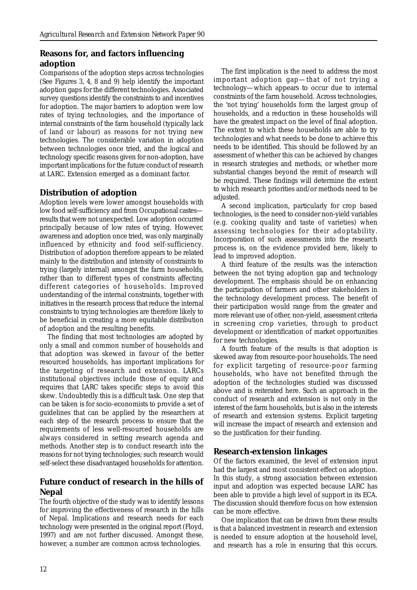## **Reasons for, and factors influencing adoption**

Comparisons of the adoption steps across technologies (See Figures 3, 4, 8 and 9) help identify the important adoption gaps for the different technologies. Associated survey questions identify the constraints to and incentives for adoption. The major barriers to adoption were low rates of trying technologies, and the importance of internal constraints of the farm household (typically lack of land or labour) as reasons for not trying new technologies. The considerable variation in adoption between technologies once tried, and the logical and technology specific reasons given for non-adoption, have important implications for the future conduct of research at LARC. Extension emerged as a dominant factor.

## **Distribution of adoption**

Adoption levels were lower amongst households with low food self-sufficiency and from Occupational castes results that were not unexpected. Low adoption occurred principally because of low rates of trying. However, awareness and adoption once tried, was only marginally influenced by ethnicity and food self-sufficiency. Distribution of adoption therefore appears to be related mainly to the distribution and intensity of constraints to trying (largely internal) amongst the farm households, rather than to different types of constraints affecting different categories of households. Improved understanding of the internal constraints, together with initiatives in the research process that reduce the internal constraints to trying technologies are therefore likely to be beneficial in creating a more equitable distribution of adoption and the resulting benefits.

The finding that most technologies are adopted by only a small and common number of households and that adoption was skewed in favour of the better resourced households, has important implications for the targeting of research and extension. LARCs institutional objectives include those of equity and requires that LARC takes specific steps to avoid this skew. Undoubtedly this is a difficult task. One step that can be taken is for socio-economists to provide a set of guidelines that can be applied by the researchers at each step of the research process to ensure that the requirements of less well-resourced households are always considered in setting research agenda and methods. Another step is to conduct research into the reasons for not trying technologies; such research would self-select these disadvantaged households for attention.

## **Future conduct of research in the hills of Nepal**

The fourth objective of the study was to identify lessons for improving the effectiveness of research in the hills of Nepal. Implications and research needs for each technology were presented in the original report (Floyd, 1997) and are not further discussed. Amongst these, however, a number are common across technologies.

The first implication is the need to address the most important adoption gap—that of not trying a technology—which appears to occur due to internal constraints of the farm household. Across technologies, the 'not trying' households form the largest group of households, and a reduction in these households will have the greatest impact on the level of final adoption. The extent to which these households are able to try technologies and what needs to be done to achieve this needs to be identified. This should be followed by an assessment of whether this can be achieved by changes in research strategies and methods, or whether more substantial changes beyond the remit of research will be required. These findings will determine the extent to which research priorities and/or methods need to be adjusted.

A second implication, particularly for crop based technologies, is the need to consider non-yield variables (e.g. cooking quality and taste of varieties) when assessing technologies for their adoptability. Incorporation of such assessments into the research process is, on the evidence provided here, likely to lead to improved adoption.

A third feature of the results was the interaction between the not trying adoption gap and technology development. The emphasis should be on enhancing the participation of farmers and other stakeholders in the technology development process. The benefit of their participation would range from the greater and more relevant use of other, non-yield, assessment criteria in screening crop varieties, through to product development or identification of market opportunities for new technologies.

A fourth feature of the results is that adoption is skewed away from resource-poor households. The need for explicit targeting of resource-poor farming households, who have not benefited through the adoption of the technologies studied was discussed above and is reiterated here. Such an approach in the conduct of research and extension is not only in the interest of the farm households, but is also in the interests of research and extension systems. Explicit targeting will increase the impact of research and extension and so the justification for their funding.

## **Research-extension linkages**

Of the factors examined, the level of extension input had the largest and most consistent effect on adoption. In this study, a strong association between extension input and adoption was expected because LARC has been able to provide a high level of support in its ECA. The discussion should therefore focus on how extension can be more effective.

One implication that can be drawn from these results is that a balanced investment in research and extension is needed to ensure adoption at the household level, and research has a role in ensuring that this occurs.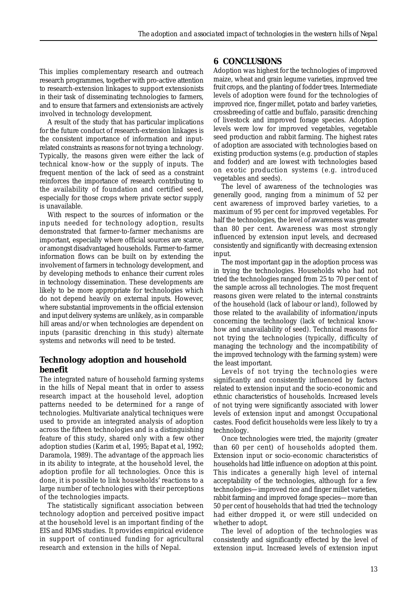This implies complementary research and outreach research programmes, together with pro-active attention to research-extension linkages to support extensionists in their task of disseminating technologies to farmers, and to ensure that farmers and extensionists are actively involved in technology development.

A result of the study that has particular implications for the future conduct of research-extension linkages is the consistent importance of information and inputrelated constraints as reasons for not trying a technology. Typically, the reasons given were either the lack of technical know-how or the supply of inputs. The frequent mention of the lack of seed as a constraint reinforces the importance of research contributing to the availability of foundation and certified seed, especially for those crops where private sector supply is unavailable.

With respect to the sources of information or the inputs needed for technology adoption, results demonstrated that farmer-to-farmer mechanisms are important, especially where official sources are scarce, or amongst disadvantaged households. Farmer-to-farmer information flows can be built on by extending the involvement of farmers in technology development, and by developing methods to enhance their current roles in technology dissemination. These developments are likely to be more appropriate for technologies which do not depend heavily on external inputs. However, where substantial improvements in the official extension and input delivery systems are unlikely, as in comparable hill areas and/or when technologies are dependent on inputs (parasitic drenching in this study) alternate systems and networks will need to be tested.

## **Technology adoption and household benefit**

The integrated nature of household farming systems in the hills of Nepal meant that in order to assess research impact at the household level, adoption patterns needed to be determined for a range of technologies. Multivariate analytical techniques were used to provide an integrated analysis of adoption across the fifteen technologies and is a distinguishing feature of this study, shared only with a few other adoption studies (Karim *et al*, 1995; Bapat *et al*, 1992; Daramola, 1989). The advantage of the approach lies in its ability to integrate, at the household level, the adoption profile for all technologies. Once this is done, it is possible to link households' reactions to a large number of technologies with their perceptions of the technologies impacts.

The statistically significant association between technology adoption and perceived positive impact at the household level is an important finding of the EIS and RIMS studies. It provides empirical evidence in support of continued funding for agricultural research and extension in the hills of Nepal.

## **6 CONCLUSIONS**

Adoption was highest for the technologies of improved maize, wheat and grain legume varieties, improved tree fruit crops, and the planting of fodder trees. Intermediate levels of adoption were found for the technologies of improved rice, finger millet, potato and barley varieties, crossbreeding of cattle and buffalo, parasitic drenching of livestock and improved forage species. Adoption levels were low for improved vegetables, vegetable seed production and rabbit farming. The highest rates of adoption are associated with technologies based on existing production systems (e.g. production of staples and fodder) and are lowest with technologies based on exotic production systems (e.g. introduced vegetables and seeds).

The level of awareness of the technologies was generally good, ranging from a minimum of 52 per cent awareness of improved barley varieties, to a maximum of 95 per cent for improved vegetables. For half the technologies, the level of awareness was greater than 80 per cent. Awareness was most strongly influenced by extension input levels, and decreased consistently and significantly with decreasing extension input.

The most important gap in the adoption process was in trying the technologies. Households who had not tried the technologies ranged from 25 to 70 per cent of the sample across all technologies. The most frequent reasons given were related to the internal constraints of the household (lack of labour or land), followed by those related to the availability of information/inputs concerning the technology (lack of technical knowhow and unavailability of seed). Technical reasons for not trying the technologies (typically, difficulty of managing the technology and the incompatibility of the improved technology with the farming system) were the least important.

Levels of not trying the technologies were significantly and consistently influenced by factors related to extension input and the socio-economic and ethnic characteristics of households. Increased levels of not trying were significantly associated with lower levels of extension input and amongst Occupational castes. Food deficit households were less likely to try a technology.

Once technologies were tried, the majority (greater than 60 per cent) of households adopted them. Extension input or socio-economic characteristics of households had little influence on adoption at this point. This indicates a generally high level of internal acceptability of the technologies, although for a few technologies—improved rice and finger millet varieties, rabbit farming and improved forage species—more than 50 per cent of households that had tried the technology had either dropped it, or were still undecided on whether to adopt.

The level of adoption of the technologies was consistently and significantly effected by the level of extension input. Increased levels of extension input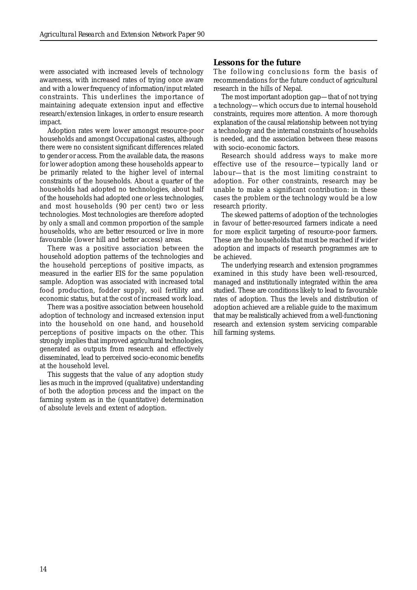were associated with increased levels of technology awareness, with increased rates of trying once aware and with a lower frequency of information/input related constraints. This underlines the importance of maintaining adequate extension input and effective research/extension linkages, in order to ensure research impact.

Adoption rates were lower amongst resource-poor households and amongst Occupational castes, although there were no consistent significant differences related to gender or access. From the available data, the reasons for lower adoption among these households appear to be primarily related to the higher level of internal constraints of the households. About a quarter of the households had adopted no technologies, about half of the households had adopted one or less technologies, and most households (90 per cent) two or less technologies. Most technologies are therefore adopted by only a small and common proportion of the sample households, who are better resourced or live in more favourable (lower hill and better access) areas.

There was a positive association between the household adoption patterns of the technologies and the household perceptions of positive impacts, as measured in the earlier EIS for the same population sample. Adoption was associated with increased total food production, fodder supply, soil fertility and economic status, but at the cost of increased work load.

There was a positive association between household adoption of technology and increased extension input into the household on one hand, and household perceptions of positive impacts on the other. This strongly implies that improved agricultural technologies, generated as outputs from research and effectively disseminated, lead to perceived socio-economic benefits at the household level.

This suggests that the value of any adoption study lies as much in the improved (qualitative) understanding of both the adoption process and the impact on the farming system as in the (quantitative) determination of absolute levels and extent of adoption.

#### **Lessons for the future**

The following conclusions form the basis of recommendations for the future conduct of agricultural research in the hills of Nepal.

The most important adoption gap—that of not trying a technology—which occurs due to internal household constraints, requires more attention. A more thorough explanation of the causal relationship between not trying a technology and the internal constraints of households is needed, and the association between these reasons with socio-economic factors.

Research should address ways to make more effective use of the resource—typically land or labour—that is the most limiting constraint to adoption. For other constraints, research may be unable to make a significant contribution: in these cases the problem or the technology would be a low research priority.

The skewed patterns of adoption of the technologies in favour of better-resourced farmers indicate a need for more explicit targeting of resource-poor farmers. These are the households that must be reached if wider adoption and impacts of research programmes are to be achieved.

The underlying research and extension programmes examined in this study have been well-resourced, managed and institutionally integrated within the area studied. These are conditions likely to lead to favourable rates of adoption. Thus the levels and distribution of adoption achieved are a reliable guide to the maximum that may be realistically achieved from a well-functioning research and extension system servicing comparable hill farming systems.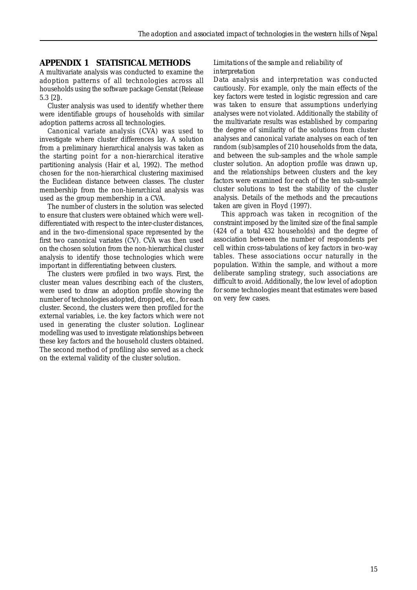## **APPENDIX 1 STATISTICAL METHODS**

A multivariate analysis was conducted to examine the adoption patterns of all technologies across all households using the software package Genstat (Release 5.3 [2]).

Cluster analysis was used to identify whether there were identifiable groups of households with similar adoption patterns across all technologies.

Canonical variate analysis (CVA) was used to investigate where cluster differences lay. A solution from a preliminary hierarchical analysis was taken as the starting point for a non-hierarchical iterative partitioning analysis (Hair *et al*, 1992). The method chosen for the non-hierarchical clustering maximised the Euclidean distance between classes. The cluster membership from the non-hierarchical analysis was used as the group membership in a CVA.

The number of clusters in the solution was selected to ensure that clusters were obtained which were welldifferentiated with respect to the inter-cluster distances, and in the two-dimensional space represented by the first two canonical variates (CV). CVA was then used on the chosen solution from the non-hierarchical cluster analysis to identify those technologies which were important in differentiating between clusters.

The clusters were profiled in two ways. First, the cluster mean values describing each of the clusters, were used to draw an adoption profile showing the number of technologies adopted, dropped, etc., for each cluster. Second, the clusters were then profiled for the external variables, i.e. the key factors which were not used in generating the cluster solution. Loglinear modelling was used to investigate relationships between these key factors and the household clusters obtained. The second method of profiling also served as a check on the external validity of the cluster solution.

#### *Limitations of the sample and reliability of interpretation*

Data analysis and interpretation was conducted cautiously. For example, only the main effects of the key factors were tested in logistic regression and care was taken to ensure that assumptions underlying analyses were not violated. Additionally the stability of the multivariate results was established by comparing the degree of similarity of the solutions from cluster analyses and canonical variate analyses on each of ten random (sub)samples of 210 households from the data, and between the sub-samples and the whole sample cluster solution. An adoption profile was drawn up, and the relationships between clusters and the key factors were examined for each of the ten sub-sample cluster solutions to test the stability of the cluster analysis. Details of the methods and the precautions taken are given in Floyd (1997).

This approach was taken in recognition of the constraint imposed by the limited size of the final sample (424 of a total 432 households) and the degree of association between the number of respondents per cell within cross-tabulations of key factors in two-way tables. These associations occur naturally in the population. Within the sample, and without a more deliberate sampling strategy, such associations are difficult to avoid. Additionally, the low level of adoption for some technologies meant that estimates were based on very few cases.